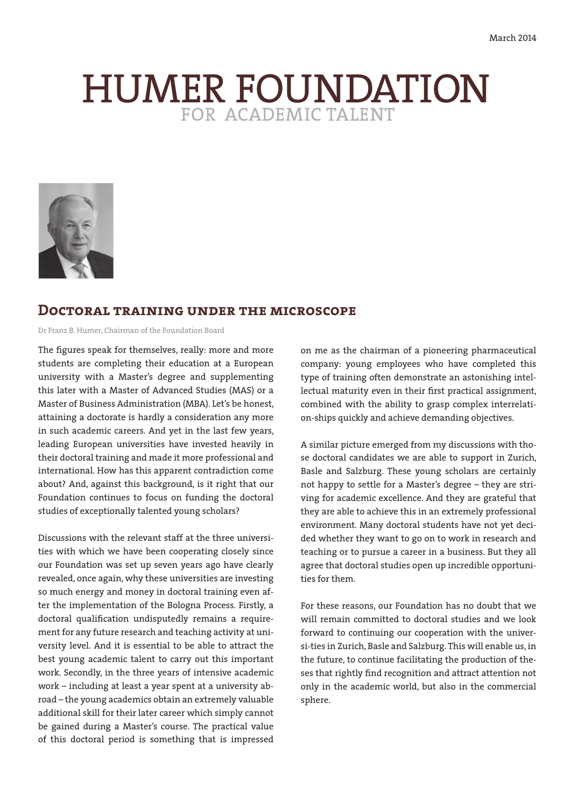# HUMER FOUNDATION



# **Doctoral training under the microscope**

Dr Franz B. Humer, Chairman of the Foundation Board

The figures speak for themselves, really: more and more students are completing their education at a European university with a Master's degree and supplementing this later with a Master of Advanced Studies (MAS) or a Master of Business Administration (MBA). Let's be honest, attaining a doctorate is hardly a consideration any more in such academic careers. And yet in the last few years, leading European universities have invested heavily in their doctoral training and made it more professional and international. How has this apparent contradiction come about? And, against this background, is it right that our Foundation continues to focus on funding the doctoral studies of exceptionally talented young scholars?

Discussions with the relevant staff at the three universities with which we have been cooperating closely since our Foundation was set up seven years ago have clearly revealed, once again, why these universities are investing so much energy and money in doctoral training even after the implementation of the Bologna Process. Firstly, a doctoral qualification undisputedly remains a requirement for any future research and teaching activity at university level. And it is essential to be able to attract the best young academic talent to carry out this important work. Secondly, in the three years of intensive academic work – including at least a year spent at a university abroad – the young academics obtain an extremely valuable additional skill for their later career which simply cannot be gained during a Master's course. The practical value of this doctoral period is something that is impressed

on me as the chairman of a pioneering pharmaceutical company: young employees who have completed this type of training often demonstrate an astonishing intellectual maturity even in their first practical assignment, combined with the ability to grasp complex interrelation-ships quickly and achieve demanding objectives.

A similar picture emerged from my discussions with those doctoral candidates we are able to support in Zurich, Basle and Salzburg. These young scholars are certainly not happy to settle for a Master's degree – they are striving for academic excellence. And they are grateful that they are able to achieve this in an extremely professional environment. Many doctoral students have not yet decided whether they want to go on to work in research and teaching or to pursue a career in a business. But they all agree that doctoral studies open up incredible opportunities for them.

For these reasons, our Foundation has no doubt that we will remain committed to doctoral studies and we look forward to continuing our cooperation with the universi-ties in Zurich, Basle and Salzburg. This will enable us, in the future, to continue facilitating the production of theses that rightly find recognition and attract attention not only in the academic world, but also in the commercial sphere.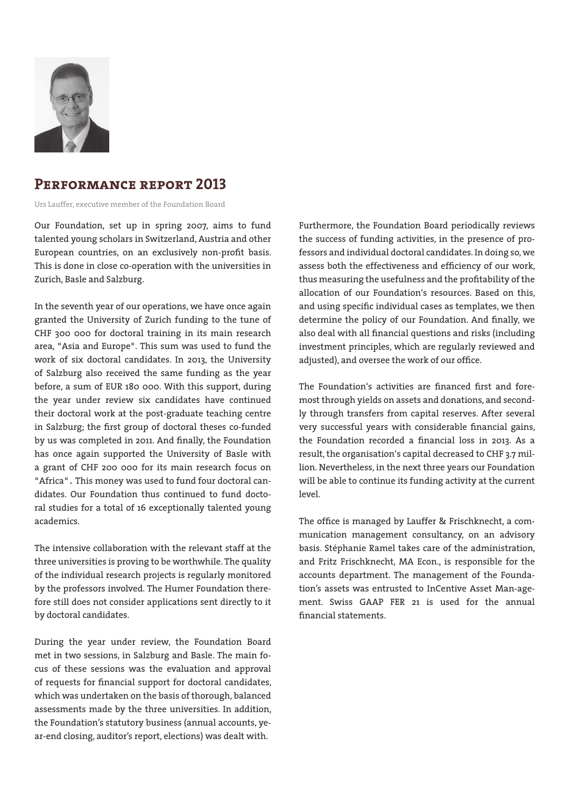

# **Performance report 2013**

Urs Lauffer, executive member of the Foundation Board

Our Foundation, set up in spring 2007, aims to fund talented young scholars in Switzerland, Austria and other European countries, on an exclusively non-profit basis. This is done in close co-operation with the universities in Zurich, Basle and Salzburg.

In the seventh year of our operations, we have once again granted the University of Zurich funding to the tune of CHF 300 000 for doctoral training in its main research area, "Asia and Europe". This sum was used to fund the work of six doctoral candidates. In 2013, the University of Salzburg also received the same funding as the year before, a sum of EUR 180 000. With this support, during the year under review six candidates have continued their doctoral work at the post-graduate teaching centre in Salzburg; the first group of doctoral theses co-funded by us was completed in 2011. And finally, the Foundation has once again supported the University of Basle with a grant of CHF 200 000 for its main research focus on "Africa". This money was used to fund four doctoral candidates. Our Foundation thus continued to fund doctoral studies for a total of 16 exceptionally talented young academics.

The intensive collaboration with the relevant staff at the three universities is proving to be worthwhile. The quality of the individual research projects is regularly monitored by the professors involved. The Humer Foundation therefore still does not consider applications sent directly to it by doctoral candidates.

During the year under review, the Foundation Board met in two sessions, in Salzburg and Basle. The main focus of these sessions was the evaluation and approval of requests for financial support for doctoral candidates, which was undertaken on the basis of thorough, balanced assessments made by the three universities. In addition, the Foundation's statutory business (annual accounts, year-end closing, auditor's report, elections) was dealt with.

Furthermore, the Foundation Board periodically reviews the success of funding activities, in the presence of professors and individual doctoral candidates. In doing so, we assess both the effectiveness and efficiency of our work, thus measuring the usefulness and the profitability of the allocation of our Foundation's resources. Based on this, and using specific individual cases as templates, we then determine the policy of our Foundation. And finally, we also deal with all financial questions and risks (including investment principles, which are regularly reviewed and adjusted), and oversee the work of our office.

The Foundation's activities are financed first and foremost through yields on assets and donations, and secondly through transfers from capital reserves. After several very successful years with considerable financial gains, the Foundation recorded a financial loss in 2013. As a result, the organisation's capital decreased to CHF 3.7 million. Nevertheless, in the next three years our Foundation will be able to continue its funding activity at the current level.

The office is managed by Lauffer & Frischknecht, a communication management consultancy, on an advisory basis. Stéphanie Ramel takes care of the administration, and Fritz Frischknecht, MA Econ., is responsible for the accounts department. The management of the Foundation's assets was entrusted to InCentive Asset Man-agement. Swiss GAAP FER 21 is used for the annual financial statements.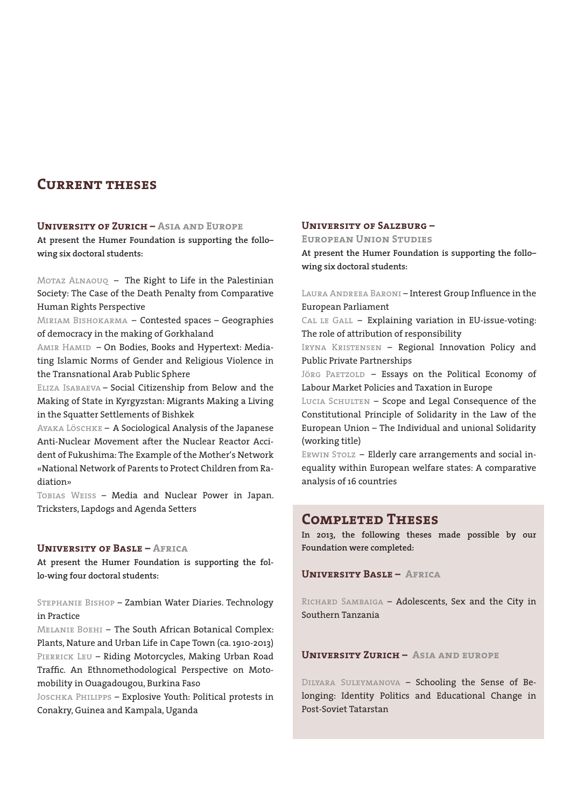# **Current theses**

## **University of Zurich – Asia and Europe**

**At present the Humer Foundation is supporting the follo– wing six doctoral students:**

Motaz Alnaouq – The Right to Life in the Palestinian Society: The Case of the Death Penalty from Comparative Human Rights Perspective

Miriam Bishokarma – Contested spaces – Geographies of democracy in the making of Gorkhaland

AMIR HAMID - On Bodies, Books and Hypertext: Mediating Islamic Norms of Gender and Religious Violence in the Transnational Arab Public Sphere

Eliza Isabaeva – Social Citizenship from Below and the Making of State in Kyrgyzstan: Migrants Making a Living in the Squatter Settlements of Bishkek

Ayaka Löschke – A Sociological Analysis of the Japanese Anti-Nuclear Movement after the Nuclear Reactor Accident of Fukushima: The Example of the Mother's Network «National Network of Parents to Protect Children from Radiation»

Tobias Weiss – Media and Nuclear Power in Japan. Tricksters, Lapdogs and Agenda Setters

## **University of Basle – Africa**

**At present the Humer Foundation is supporting the follo-wing four doctoral students:**

Stephanie Bishop – Zambian Water Diaries. Technology in Practice

Melanie Boehi – The South African Botanical Complex: Plants, Nature and Urban Life in Cape Town (ca. 1910-2013) PIERRICK LEU - Riding Motorcycles, Making Urban Road Traffic. An Ethnomethodological Perspective on Motomobility in Ouagadougou, Burkina Faso

Joschka Philipps – Explosive Youth: Political protests in Conakry, Guinea and Kampala, Uganda

## **University of Salzburg –**

**European Union Studies**

**At present the Humer Foundation is supporting the follo– wing six doctoral students:**

LAURA ANDREEA BARONI – Interest Group Influence in the European Parliament

CAL LE GALL - Explaining variation in EU-issue-voting: The role of attribution of responsibility

IRYNA KRISTENSEN - Regional Innovation Policy and Public Private Partnerships

JÖRG PAETZOLD - Essays on the Political Economy of Labour Market Policies and Taxation in Europe

Lucia Schulten – Scope and Legal Consequence of the Constitutional Principle of Solidarity in the Law of the European Union – The Individual and unional Solidarity (working title)

ERWIN STOLZ - Elderly care arrangements and social inequality within European welfare states: A comparative analysis of 16 countries

# **Completed Theses**

**In 2013, the following theses made possible by our Foundation were completed:**

**University Basle – Africa**

RICHARD SAMBAIGA - Adolescents, Sex and the City in Southern Tanzania

#### **University Zurich – Asia and europe**

Dilyara Suleymanova – Schooling the Sense of Belonging: Identity Politics and Educational Change in Post-Soviet Tatarstan